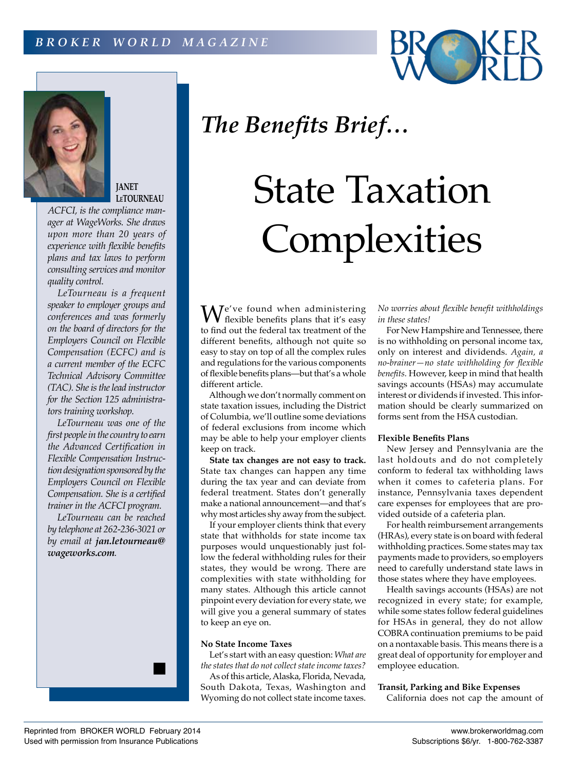



**JANET LeTOURNEAU**

*ACFCI, is the compliance manager at WageWorks. She draws upon more than 20 years of experience with flexible benefits plans and tax laws to perform consulting services and monitor quality control.*

*LeTourneau is a frequent speaker to employer groups and conferences and was formerly on the board of directors for the Employers Council on Flexible Compensation (ECFC) and is a current member of the ECFC Technical Advisory Committee (TAC). She is the lead instructor for the Section 125 administrators training workshop.*

*LeTourneau was one of the first people in the country to earn the Advanced Certification in Flexible Compensation Instruction designation sponsored by the Employers Council on Flexible Compensation. She is a certified trainer in the ACFCI program.*

*LeTourneau can be reached by telephone at 262-236-3021 or by email at jan.letourneau@ wageworks.com.*



# State Taxation Complexities

 $\mathbf{W}^{\text{e've found when }{}}$ flexible benefits plans that it's easy to find out the federal tax treatment of the different benefits, although not quite so easy to stay on top of all the complex rules and regulations for the various components of flexible benefits plans—but that's a whole different article.

Although we don't normally comment on state taxation issues, including the District of Columbia, we'll outline some deviations of federal exclusions from income which may be able to help your employer clients keep on track.

**State tax changes are not easy to track.**  State tax changes can happen any time during the tax year and can deviate from federal treatment. States don't generally make a national announcement—and that's why most articles shy away from the subject.

If your employer clients think that every state that withholds for state income tax purposes would unquestionably just follow the federal withholding rules for their states, they would be wrong. There are complexities with state withholding for many states. Although this article cannot pinpoint every deviation for every state, we will give you a general summary of states to keep an eye on.

# **No State Income Taxes**

Let's start with an easy question: *What are the states that do not collect state income taxes?*

As of this article, Alaska, Florida, Nevada, South Dakota, Texas, Washington and Wyoming do not collect state income taxes. *No worries about flexible benefit withholdings in these states!*

For New Hampshire and Tennessee, there is no withholding on personal income tax, only on interest and dividends. *Again, a no-brainer—no state withholding for flexible benefits.* However, keep in mind that health savings accounts (HSAs) may accumulate interest or dividends if invested. This information should be clearly summarized on forms sent from the HSA custodian.

### **Flexible Benefits Plans**

New Jersey and Pennsylvania are the last holdouts and do not completely conform to federal tax withholding laws when it comes to cafeteria plans. For instance, Pennsylvania taxes dependent care expenses for employees that are provided outside of a cafeteria plan.

For health reimbursement arrangements (HRAs), every state is on board with federal withholding practices. Some states may tax payments made to providers, so employers need to carefully understand state laws in those states where they have employees.

Health savings accounts (HSAs) are not recognized in every state; for example, while some states follow federal guidelines for HSAs in general, they do not allow COBRA continuation premiums to be paid on a nontaxable basis. This means there is a great deal of opportunity for employer and employee education.

#### **Transit, Parking and Bike Expenses**

California does not cap the amount of